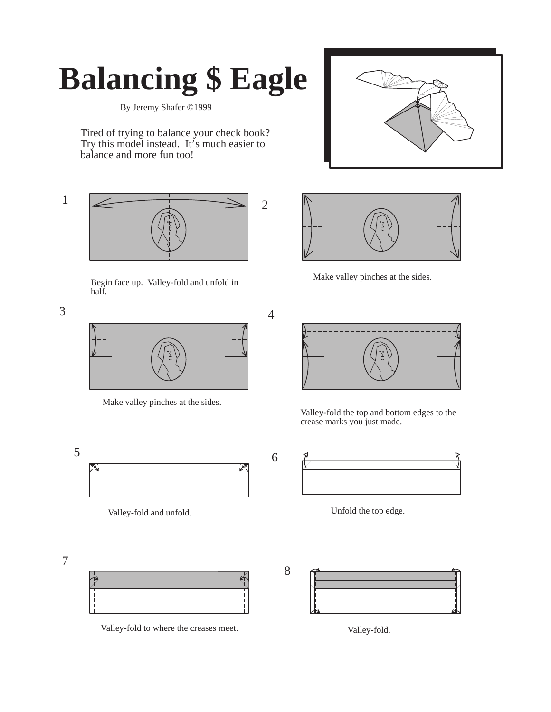## **Balancing \$ Eagle**

By Jeremy Shafer ©1999

Tired of trying to balance your check book? Try this model instead. It's much easier to balance and more fun too!





Begin face up. Valley-fold and unfold in half.

7



Make valley pinches at the sides.



Valley-fold and unfold. Unfold the top edge.





Make valley pinches at the sides.

Valley-fold the top and bottom edges to the crease marks you just made.





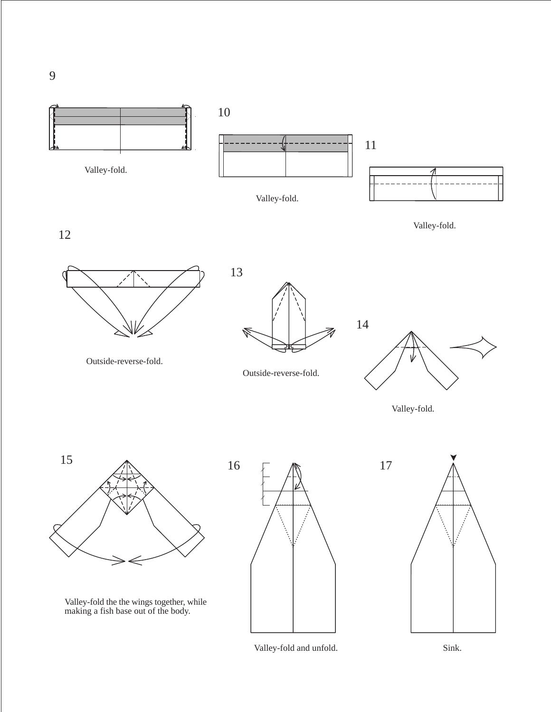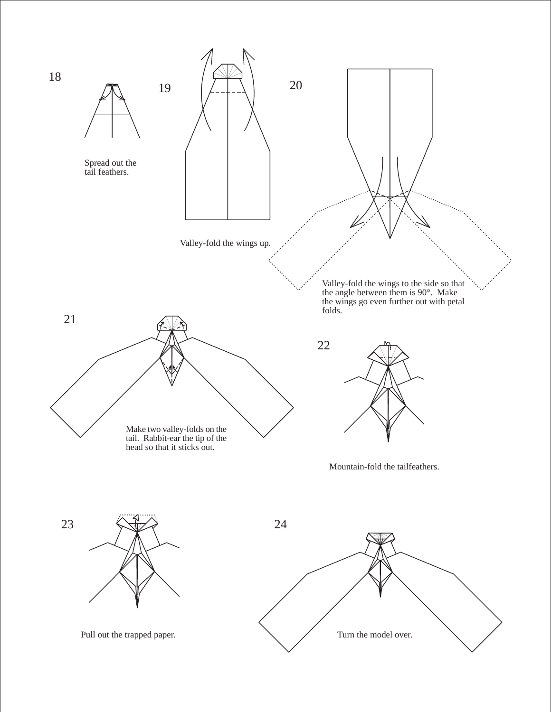